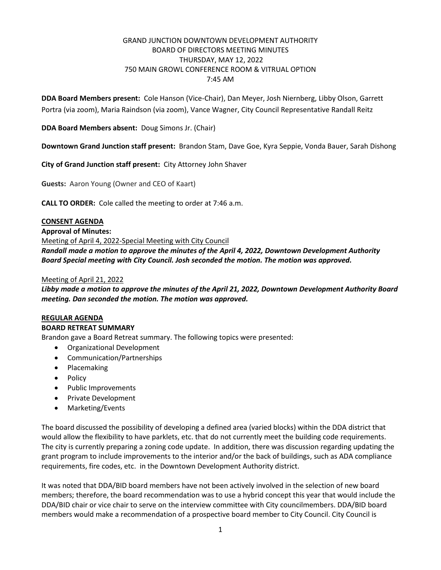## GRAND JUNCTION DOWNTOWN DEVELOPMENT AUTHORITY BOARD OF DIRECTORS MEETING MINUTES THURSDAY, MAY 12, 2022 750 MAIN GROWL CONFERENCE ROOM & VITRUAL OPTION 7:45 AM

**DDA Board Members present:** Cole Hanson (Vice-Chair), Dan Meyer, Josh Niernberg, Libby Olson, Garrett Portra (via zoom), Maria Raindson (via zoom), Vance Wagner, City Council Representative Randall Reitz

**DDA Board Members absent:** Doug Simons Jr. (Chair)

**Downtown Grand Junction staff present:** Brandon Stam, Dave Goe, Kyra Seppie, Vonda Bauer, Sarah Dishong

**City of Grand Junction staff present:** City Attorney John Shaver

**Guests:** Aaron Young (Owner and CEO of Kaart)

**CALL TO ORDER:** Cole called the meeting to order at 7:46 a.m.

### **CONSENT AGENDA**

**Approval of Minutes:**

Meeting of April 4, 2022-Special Meeting with City Council

*Randall made a motion to approve the minutes of the April 4, 2022, Downtown Development Authority Board Special meeting with City Council. Josh seconded the motion. The motion was approved.*

### Meeting of April 21, 2022

*Libby made a motion to approve the minutes of the April 21, 2022, Downtown Development Authority Board meeting. Dan seconded the motion. The motion was approved.*

### **REGULAR AGENDA**

#### **BOARD RETREAT SUMMARY**

Brandon gave a Board Retreat summary. The following topics were presented:

- Organizational Development
- Communication/Partnerships
- Placemaking
- Policy
- Public Improvements
- Private Development
- Marketing/Events

The board discussed the possibility of developing a defined area (varied blocks) within the DDA district that would allow the flexibility to have parklets, etc. that do not currently meet the building code requirements. The city is currently preparing a zoning code update. In addition, there was discussion regarding updating the grant program to include improvements to the interior and/or the back of buildings, such as ADA compliance requirements, fire codes, etc. in the Downtown Development Authority district.

It was noted that DDA/BID board members have not been actively involved in the selection of new board members; therefore, the board recommendation was to use a hybrid concept this year that would include the DDA/BID chair or vice chair to serve on the interview committee with City councilmembers. DDA/BID board members would make a recommendation of a prospective board member to City Council. City Council is